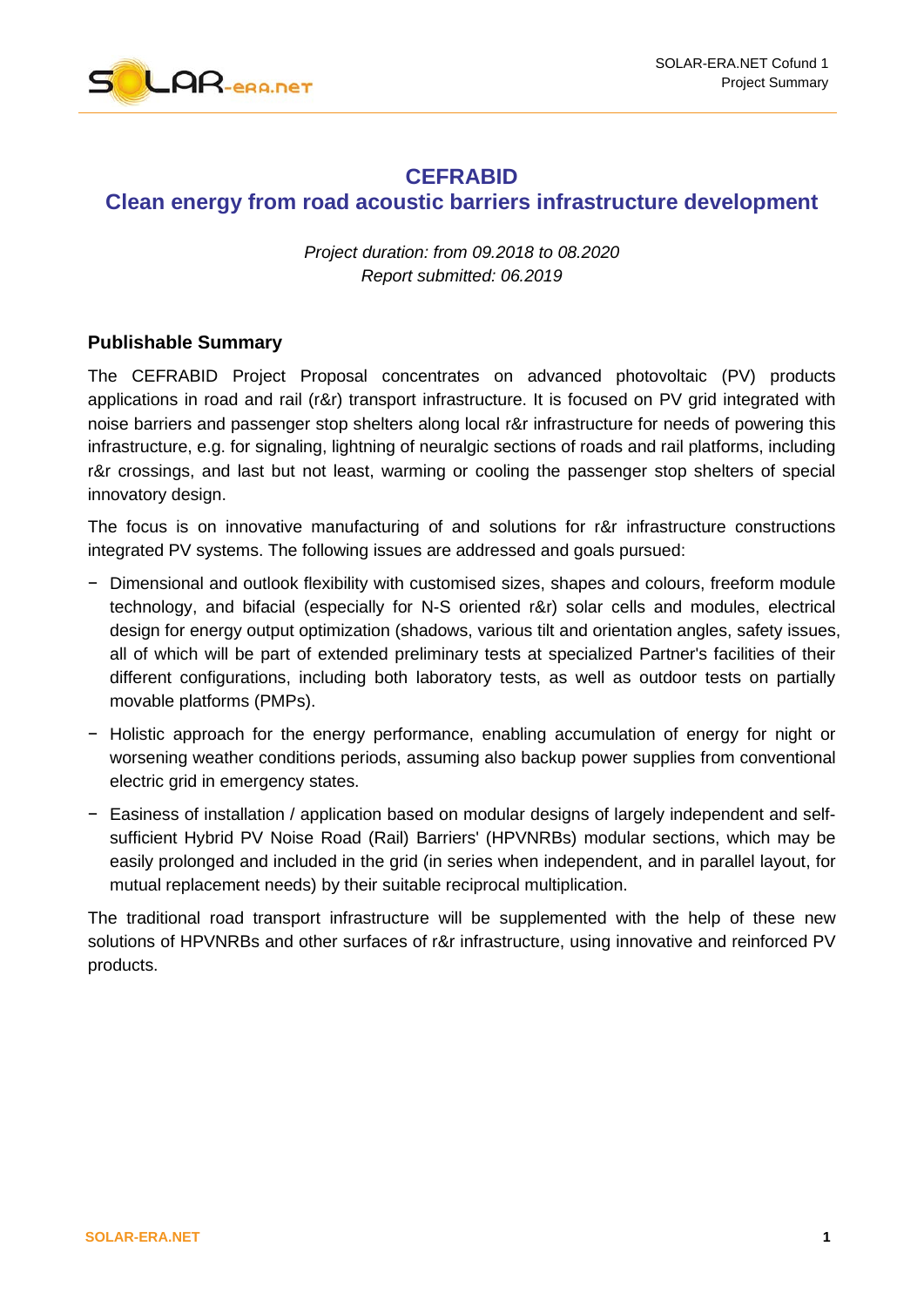

## **CEFRABID Clean energy from road acoustic barriers infrastructure development**

*Project duration: from 09.2018 to 08.2020 Report submitted: 06.2019*

## **Publishable Summary**

The CEFRABID Project Proposal concentrates on advanced photovoltaic (PV) products applications in road and rail (r&r) transport infrastructure. It is focused on PV grid integrated with noise barriers and passenger stop shelters along local r&r infrastructure for needs of powering this infrastructure, e.g. for signaling, lightning of neuralgic sections of roads and rail platforms, including r&r crossings, and last but not least, warming or cooling the passenger stop shelters of special innovatory design.

The focus is on innovative manufacturing of and solutions for r&r infrastructure constructions integrated PV systems. The following issues are addressed and goals pursued:

- − Dimensional and outlook flexibility with customised sizes, shapes and colours, freeform module technology, and bifacial (especially for N-S oriented r&r) solar cells and modules, electrical design for energy output optimization (shadows, various tilt and orientation angles, safety issues, all of which will be part of extended preliminary tests at specialized Partner's facilities of their different configurations, including both laboratory tests, as well as outdoor tests on partially movable platforms (PMPs).
- − Holistic approach for the energy performance, enabling accumulation of energy for night or worsening weather conditions periods, assuming also backup power supplies from conventional electric grid in emergency states.
- − Easiness of installation / application based on modular designs of largely independent and selfsufficient Hybrid PV Noise Road (Rail) Barriers' (HPVNRBs) modular sections, which may be easily prolonged and included in the grid (in series when independent, and in parallel layout, for mutual replacement needs) by their suitable reciprocal multiplication.

The traditional road transport infrastructure will be supplemented with the help of these new solutions of HPVNRBs and other surfaces of r&r infrastructure, using innovative and reinforced PV products.